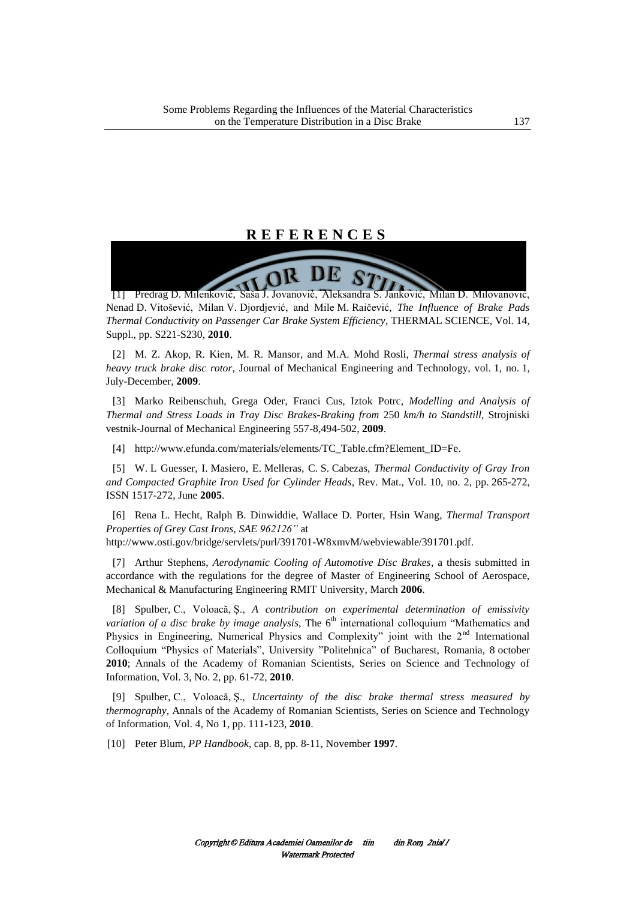## **R E F E R E N C E S**

[1] Predrag D. Milenković, Saša J. Jovanović, Aleksandra S. Janković, Milan D. Milovanović, Nenad D. Vitošević, Milan V. Djordjević, and Mile M. Raičević, *The Influence of Brake Pads Thermal Conductivity on Passenger Car Brake System Efficiency*, THERMAL SCIENCE, Vol. 14, Suppl., pp. S221-S230, **2010**.

[2] M. Z. Akop, R. Kien, M. R. Mansor, and M.A. Mohd Rosli, *Thermal stress analysis of heavy truck brake disc rotor,* Journal of Mechanical Engineering and Technology, vol. 1, no. 1, July-December, **2009**.

[3] Marko Reibenschuh, Grega Oder, Franci Cus, Iztok Potrc, *Modelling and Analysis of Thermal and Stress Loads in Tray Disc Brakes-Braking from* 250 *km/h to Standstill*, Strojniski vestnik-Journal of Mechanical Engineering 557-8,494-502, **2009**.

[4] [http://www.efunda.com/materials/elements/TC\\_Table.cfm?Element\\_ID=Fe.](http://www.efunda.com/materials/elements/TC_Table.cfm?Element_ID=Fe) 

[5] W. L Guesser, I. Masiero, E. Melleras, C. S. Cabezas, *Thermal Conductivity of Gray Iron and Compacted Graphite Iron Used for Cylinder Heads*, Rev. Mat., Vol. 10, no. 2, pp. 265-272, ISSN 1517-272, June **2005**.

[6] Rena L. Hecht, Ralph B. Dinwiddie, Wallace D. Porter, Hsin Wang, *Thermal Transport Properties of Grey Cast Irons, SAE 962126"* at

http://www.osti.gov/bridge/servlets/purl/391701-W8xmvM/webviewable/391701.pdf.

[7] Arthur Stephens, *Aerodynamic Cooling of Automotive Disc Brakes,* a thesis submitted in accordance with the regulations for the degree of Master of Engineering School of Aerospace, Mechanical & Manufacturing Engineering RMIT University, March **2006**.

[8] Spulber, C., Voloacă, Ş., *A contribution on experimental determination of emissivity variation of a disc brake by image analysis*, The 6<sup>th</sup> international colloquium "Mathematics and Physics in Engineering, Numerical Physics and Complexity" joint with the 2<sup>nd</sup> International Colloquium "Physics of Materials", University "Politehnica" of Bucharest, Romania, 8 october **2010**; Annals of the Academy of Romanian Scientists, Series on Science and Technology of Information, Vol. 3, No. 2, pp. 61-72, **2010**.

[9] Spulber, C., Voloacă, Ş., *Uncertainty of the disc brake thermal stress measured by thermography*, Annals of the Academy of Romanian Scientists, Series on Science and Technology of Information, Vol. 4, No 1, pp. 111-123, **2010**.

[10] Peter Blum, *PP Handbook*, cap. 8, pp. 8-11, November **1997**.